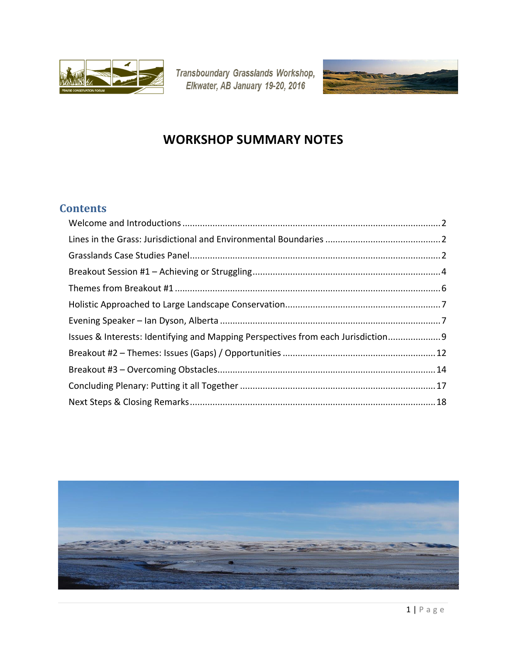

Transboundary Grasslands Workshop,<br>Elkwater, AB January 19-20, 2016



# **WORKSHOP SUMMARY NOTES**

## **Contents**

| Issues & Interests: Identifying and Mapping Perspectives from each Jurisdiction 9 |  |
|-----------------------------------------------------------------------------------|--|
|                                                                                   |  |
|                                                                                   |  |
|                                                                                   |  |
|                                                                                   |  |

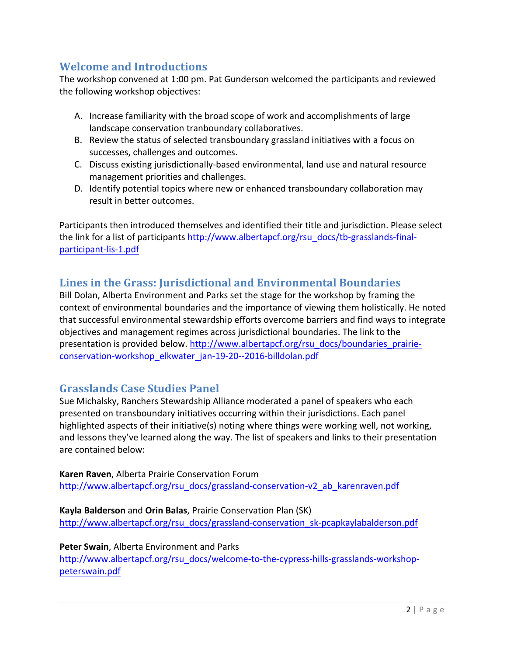## **Welcome and Introductions**

The workshop convened at 1:00 pm. Pat Gunderson welcomed the participants and reviewed the following workshop objectives:

- A. Increase familiarity with the broad scope of work and accomplishments of large landscape conservation tranboundary collaboratives.
- B. Review the status of selected transboundary grassland initiatives with a focus on successes, challenges and outcomes.
- C. Discuss existing jurisdictionally-based environmental, land use and natural resource management priorities and challenges.
- D. Identify potential topics where new or enhanced transboundary collaboration may result in better outcomes.

Participants then introduced themselves and identified their title and jurisdiction. Please select the link for a list of participants http://www.albertapcf.org/rsu\_docs/tb-grasslands-finalparticipant-lis-1.pdf

### Lines in the Grass: Jurisdictional and Environmental Boundaries

Bill Dolan, Alberta Environment and Parks set the stage for the workshop by framing the context of environmental boundaries and the importance of viewing them holistically. He noted that successful environmental stewardship efforts overcome barriers and find ways to integrate objectives and management regimes across jurisdictional boundaries. The link to the presentation is provided below. http://www.albertapcf.org/rsu\_docs/boundaries\_prairieconservation-workshop\_elkwater\_jan-19-20--2016-billdolan.pdf

### **Grasslands Case Studies Panel**

Sue Michalsky, Ranchers Stewardship Alliance moderated a panel of speakers who each presented on transboundary initiatives occurring within their jurisdictions. Each panel highlighted aspects of their initiative(s) noting where things were working well, not working, and lessons they've learned along the way. The list of speakers and links to their presentation are contained below:

**Karen Raven, Alberta Prairie Conservation Forum** http://www.albertapcf.org/rsu\_docs/grassland-conservation-v2\_ab\_karenraven.pdf

**Kayla Balderson** and **Orin Balas**, Prairie Conservation Plan (SK) http://www.albertapcf.org/rsu\_docs/grassland-conservation\_sk-pcapkaylabalderson.pdf

#### **Peter Swain, Alberta Environment and Parks**

http://www.albertapcf.org/rsu\_docs/welcome-to-the-cypress-hills-grasslands-workshoppeterswain.pdf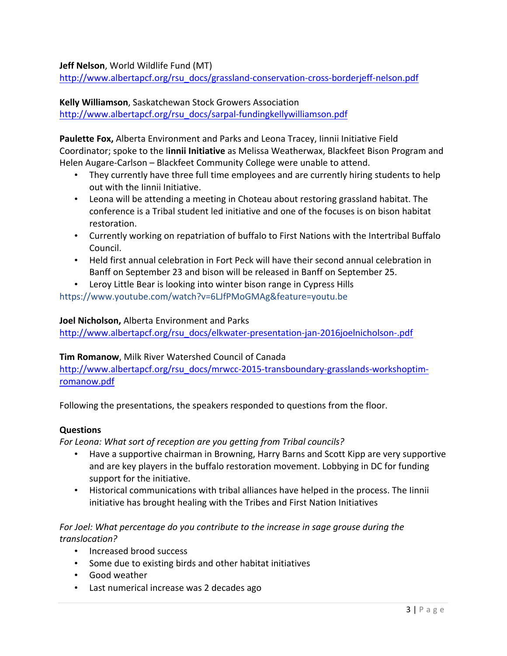**Jeff Nelson**, World Wildlife Fund (MT)

http://www.albertapcf.org/rsu\_docs/grassland-conservation-cross-borderjeff-nelson.pdf

**Kelly Williamson, Saskatchewan Stock Growers Association** 

http://www.albertapcf.org/rsu\_docs/sarpal-fundingkellywilliamson.pdf

**Paulette Fox,** Alberta Environment and Parks and Leona Tracey, linnii Initiative Field Coordinator; spoke to the linnii Initiative as Melissa Weatherwax, Blackfeet Bison Program and Helen Augare-Carlson – Blackfeet Community College were unable to attend.

- They currently have three full time employees and are currently hiring students to help out with the linnii Initiative.
- Leona will be attending a meeting in Choteau about restoring grassland habitat. The conference is a Tribal student led initiative and one of the focuses is on bison habitat restoration.
- Currently working on repatriation of buffalo to First Nations with the Intertribal Buffalo Council.
- Held first annual celebration in Fort Peck will have their second annual celebration in Banff on September 23 and bison will be released in Banff on September 25.
- Leroy Little Bear is looking into winter bison range in Cypress Hills https://www.youtube.com/watch?v=6LJfPMoGMAg&feature=youtu.be

#### **Joel Nicholson, Alberta Environment and Parks**

http://www.albertapcf.org/rsu\_docs/elkwater-presentation-jan-2016joelnicholson-.pdf

#### **Tim Romanow**, Milk River Watershed Council of Canada

http://www.albertapcf.org/rsu\_docs/mrwcc-2015-transboundary-grasslands-workshoptimromanow.pdf

Following the presentations, the speakers responded to questions from the floor.

#### **Questions**

For Leona: What sort of reception are you getting from Tribal councils?

- Have a supportive chairman in Browning, Harry Barns and Scott Kipp are very supportive and are key players in the buffalo restoration movement. Lobbying in DC for funding support for the initiative.
- Historical communications with tribal alliances have helped in the process. The linnii initiative has brought healing with the Tribes and First Nation Initiatives

#### For Joel: What percentage do you contribute to the increase in sage grouse during the *translocation?*

- Increased brood success
- Some due to existing birds and other habitat initiatives
- Good weather
- Last numerical increase was 2 decades ago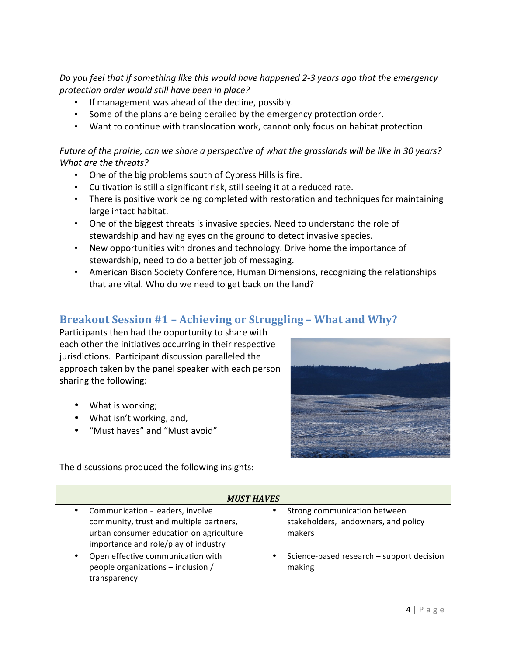Do you feel that if something like this would have happened 2-3 years ago that the emergency *protection order would still have been in place?*

- If management was ahead of the decline, possibly.
- Some of the plans are being derailed by the emergency protection order.
- Want to continue with translocation work, cannot only focus on habitat protection.

Future of the prairie, can we share a perspective of what the grasslands will be like in 30 years? *What are the threats?* 

- One of the big problems south of Cypress Hills is fire.
- Cultivation is still a significant risk, still seeing it at a reduced rate.
- There is positive work being completed with restoration and techniques for maintaining large intact habitat.
- One of the biggest threats is invasive species. Need to understand the role of stewardship and having eyes on the ground to detect invasive species.
- New opportunities with drones and technology. Drive home the importance of stewardship, need to do a better job of messaging.
- American Bison Society Conference, Human Dimensions, recognizing the relationships that are vital. Who do we need to get back on the land?

## **Breakout Session #1 - Achieving or Struggling - What and Why?**

Participants then had the opportunity to share with each other the initiatives occurring in their respective jurisdictions. Participant discussion paralleled the approach taken by the panel speaker with each person sharing the following:

- What is working;
- What isn't working, and,
- "Must haves" and "Must avoid"



The discussions produced the following insights:

| <b>MUST HAVES</b>                                                                                                                                              |                                                                                |
|----------------------------------------------------------------------------------------------------------------------------------------------------------------|--------------------------------------------------------------------------------|
| Communication - leaders, involve<br>community, trust and multiple partners,<br>urban consumer education on agriculture<br>importance and role/play of industry | Strong communication between<br>stakeholders, landowners, and policy<br>makers |
| Open effective communication with<br>people organizations - inclusion /<br>transparency                                                                        | Science-based research - support decision<br>٠<br>making                       |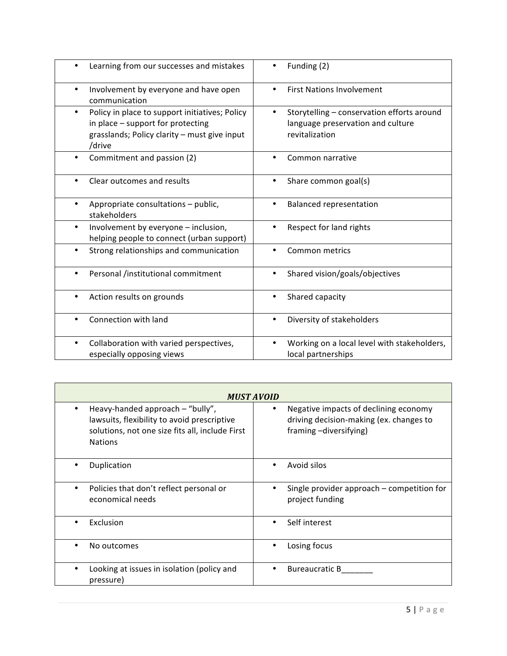| Learning from our successes and mistakes                                                                                                           | Funding (2)                                                                                            |
|----------------------------------------------------------------------------------------------------------------------------------------------------|--------------------------------------------------------------------------------------------------------|
| Involvement by everyone and have open<br>$\bullet$<br>communication                                                                                | <b>First Nations Involvement</b>                                                                       |
| Policy in place to support initiatives; Policy<br>٠<br>in place - support for protecting<br>grasslands; Policy clarity - must give input<br>/drive | Storytelling - conservation efforts around<br>٠<br>language preservation and culture<br>revitalization |
| Commitment and passion (2)                                                                                                                         | Common narrative                                                                                       |
| Clear outcomes and results                                                                                                                         | Share common goal(s)                                                                                   |
| Appropriate consultations - public,<br>stakeholders                                                                                                | <b>Balanced representation</b>                                                                         |
| Involvement by everyone - inclusion,<br>$\bullet$<br>helping people to connect (urban support)                                                     | Respect for land rights                                                                                |
| Strong relationships and communication                                                                                                             | Common metrics                                                                                         |
| Personal /institutional commitment                                                                                                                 | Shared vision/goals/objectives                                                                         |
| Action results on grounds                                                                                                                          | Shared capacity<br>٠                                                                                   |
| Connection with land                                                                                                                               | Diversity of stakeholders<br>٠                                                                         |
| Collaboration with varied perspectives,<br>٠<br>especially opposing views                                                                          | Working on a local level with stakeholders,<br>local partnerships                                      |

| <b>MUST AVOID</b>                                                                                                                                    |                                                                                                            |
|------------------------------------------------------------------------------------------------------------------------------------------------------|------------------------------------------------------------------------------------------------------------|
| Heavy-handed approach - "bully",<br>lawsuits, flexibility to avoid prescriptive<br>solutions, not one size fits all, include First<br><b>Nations</b> | Negative impacts of declining economy<br>driving decision-making (ex. changes to<br>framing -diversifying) |
| Duplication<br>٠                                                                                                                                     | Avoid silos<br>٠                                                                                           |
| Policies that don't reflect personal or<br>economical needs                                                                                          | Single provider approach - competition for<br>project funding                                              |
| Exclusion                                                                                                                                            | Self interest                                                                                              |
| No outcomes                                                                                                                                          | Losing focus<br>٠                                                                                          |
| Looking at issues in isolation (policy and<br>pressure)                                                                                              | <b>Bureaucratic B</b><br>٠                                                                                 |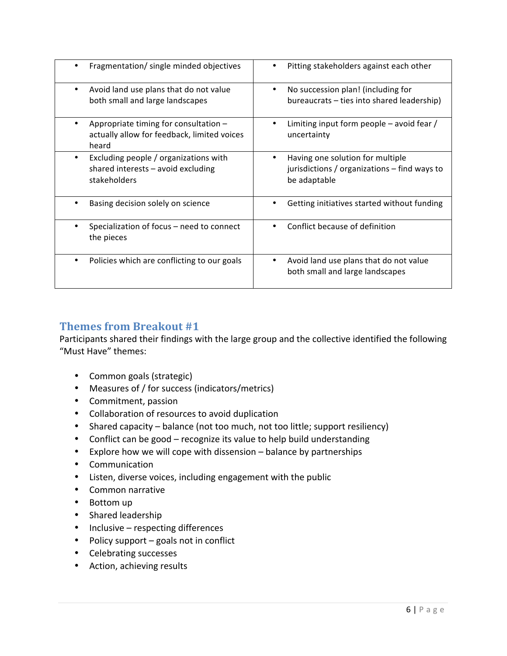| Fragmentation/ single minded objectives                                                         | Pitting stakeholders against each other                                                          |
|-------------------------------------------------------------------------------------------------|--------------------------------------------------------------------------------------------------|
| Avoid land use plans that do not value<br>both small and large landscapes                       | No succession plan! (including for<br>bureaucrats – ties into shared leadership)                 |
| Appropriate timing for consultation $-$<br>actually allow for feedback, limited voices<br>heard | Limiting input form people $-$ avoid fear /<br>uncertainty                                       |
| Excluding people / organizations with<br>shared interests $-$ avoid excluding<br>stakeholders   | Having one solution for multiple<br>jurisdictions / organizations - find ways to<br>be adaptable |
| Basing decision solely on science                                                               | Getting initiatives started without funding                                                      |
| Specialization of focus – need to connect<br>the pieces                                         | Conflict because of definition                                                                   |
| Policies which are conflicting to our goals                                                     | Avoid land use plans that do not value<br>both small and large landscapes                        |

### **Themes from Breakout #1**

Participants shared their findings with the large group and the collective identified the following "Must Have" themes:

- Common goals (strategic)
- Measures of / for success (indicators/metrics)
- Commitment, passion
- Collaboration of resources to avoid duplication
- Shared capacity balance (not too much, not too little; support resiliency)
- Conflict can be good recognize its value to help build understanding
- Explore how we will cope with dissension  $-$  balance by partnerships
- Communication
- Listen, diverse voices, including engagement with the public
- Common narrative
- Bottom up
- Shared leadership
- $\bullet$  Inclusive respecting differences
- Policy support goals not in conflict
- Celebrating successes
- Action, achieving results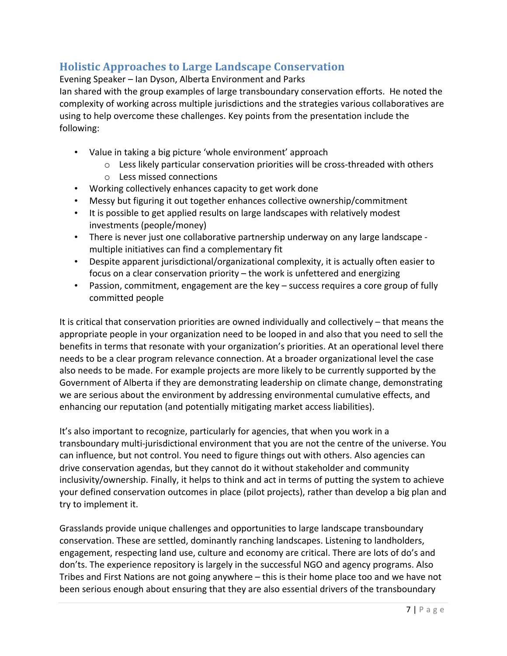## **Holistic Approaches to Large Landscape Conservation**

Evening Speaker – Ian Dyson, Alberta Environment and Parks

lan shared with the group examples of large transboundary conservation efforts. He noted the complexity of working across multiple jurisdictions and the strategies various collaboratives are using to help overcome these challenges. Key points from the presentation include the following:

- Value in taking a big picture 'whole environment' approach
	- $\circ$  Less likely particular conservation priorities will be cross-threaded with others
	- o Less missed connections
- Working collectively enhances capacity to get work done
- Messy but figuring it out together enhances collective ownership/commitment
- It is possible to get applied results on large landscapes with relatively modest investments (people/money)
- There is never just one collaborative partnership underway on any large landscape multiple initiatives can find a complementary fit
- Despite apparent jurisdictional/organizational complexity, it is actually often easier to focus on a clear conservation priority  $-$  the work is unfettered and energizing
- Passion, commitment, engagement are the key success requires a core group of fully committed people

It is critical that conservation priorities are owned individually and collectively – that means the appropriate people in your organization need to be looped in and also that you need to sell the benefits in terms that resonate with your organization's priorities. At an operational level there needs to be a clear program relevance connection. At a broader organizational level the case also needs to be made. For example projects are more likely to be currently supported by the Government of Alberta if they are demonstrating leadership on climate change, demonstrating we are serious about the environment by addressing environmental cumulative effects, and enhancing our reputation (and potentially mitigating market access liabilities).

It's also important to recognize, particularly for agencies, that when you work in a transboundary multi-jurisdictional environment that you are not the centre of the universe. You can influence, but not control. You need to figure things out with others. Also agencies can drive conservation agendas, but they cannot do it without stakeholder and community inclusivity/ownership. Finally, it helps to think and act in terms of putting the system to achieve your defined conservation outcomes in place (pilot projects), rather than develop a big plan and try to implement it.

Grasslands provide unique challenges and opportunities to large landscape transboundary conservation. These are settled, dominantly ranching landscapes. Listening to landholders, engagement, respecting land use, culture and economy are critical. There are lots of do's and don'ts. The experience repository is largely in the successful NGO and agency programs. Also Tribes and First Nations are not going anywhere  $-$  this is their home place too and we have not been serious enough about ensuring that they are also essential drivers of the transboundary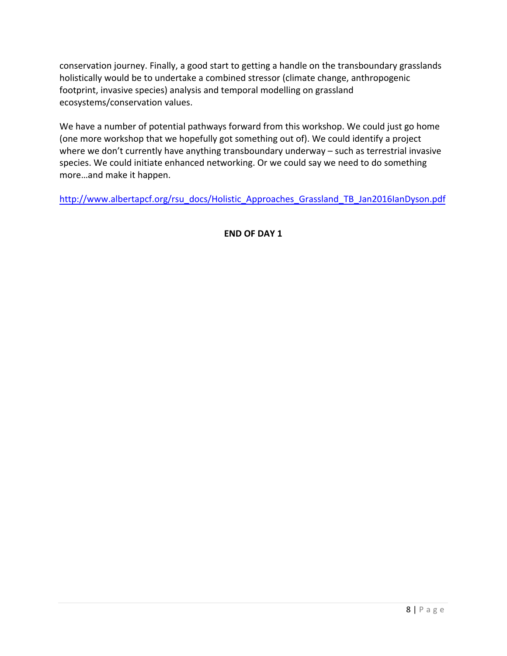conservation journey. Finally, a good start to getting a handle on the transboundary grasslands holistically would be to undertake a combined stressor (climate change, anthropogenic footprint, invasive species) analysis and temporal modelling on grassland ecosystems/conservation values.

We have a number of potential pathways forward from this workshop. We could just go home (one more workshop that we hopefully got something out of). We could identify a project where we don't currently have anything transboundary underway  $-$  such as terrestrial invasive species. We could initiate enhanced networking. Or we could say we need to do something more...and make it happen.

http://www.albertapcf.org/rsu\_docs/Holistic\_Approaches\_Grassland\_TB\_Jan2016IanDyson.pdf

**END OF DAY 1**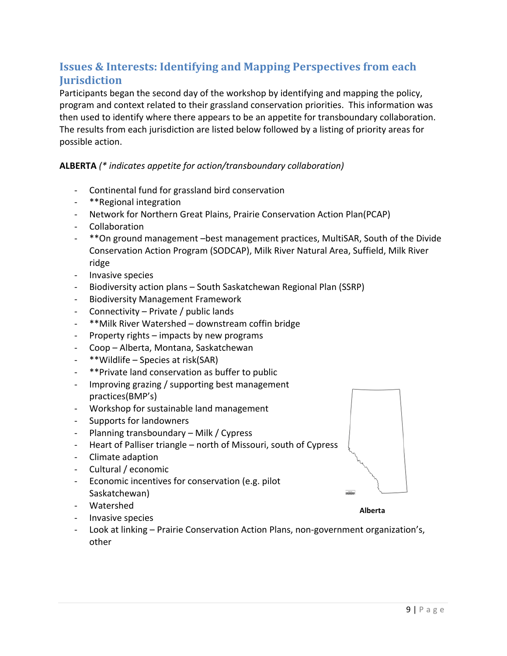## **Issues & Interests: Identifying and Mapping Perspectives from each Jurisdiction**

Participants began the second day of the workshop by identifying and mapping the policy, program and context related to their grassland conservation priorities. This information was then used to identify where there appears to be an appetite for transboundary collaboration. The results from each jurisdiction are listed below followed by a listing of priority areas for possible action.

#### **ALBERTA** (\* indicates appetite for action/transboundary collaboration)

- Continental fund for grassland bird conservation
- \*\*Regional integration
- Network for Northern Great Plains, Prairie Conservation Action Plan(PCAP)
- Collaboration
- \*\* On ground management -best management practices, MultiSAR, South of the Divide Conservation Action Program (SODCAP), Milk River Natural Area, Suffield, Milk River ridge
- Invasive species
- Biodiversity action plans South Saskatchewan Regional Plan (SSRP)
- Biodiversity Management Framework
- Connectivity Private / public lands
- \*\* Milk River Watershed downstream coffin bridge
- Property rights impacts by new programs
- Coop Alberta, Montana, Saskatchewan
- \*\*Wildlife Species at risk(SAR)
- \*\*Private land conservation as buffer to public
- Improving grazing / supporting best management practices(BMP's)
- Workshop for sustainable land management
- Supports for landowners
- Planning transboundary Milk / Cypress
- Heart of Palliser triangle north of Missouri, south of Cypress
- Climate adaption
- Cultural / economic
- Economic incentives for conservation (e.g. pilot Saskatchewan)
- Watershed
- Invasive species
- Look at linking Prairie Conservation Action Plans, non-government organization's, other



**Alberta**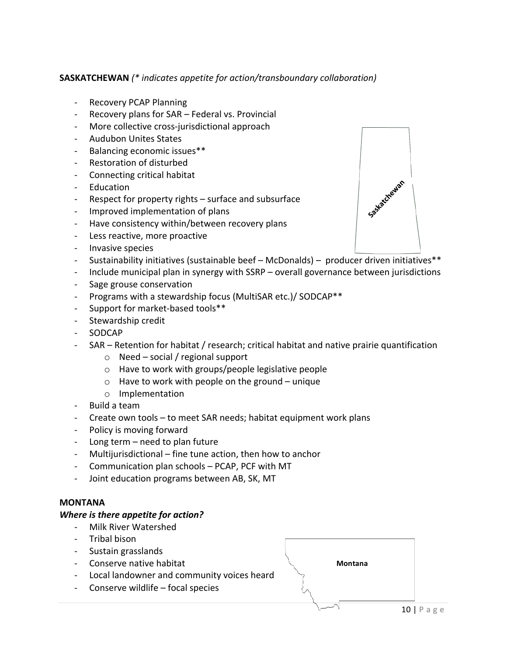#### **SASKATCHEWAN** (\* indicates appetite for action/transboundary collaboration)

- Recovery PCAP Planning
- Recovery plans for SAR Federal vs. Provincial
- More collective cross-jurisdictional approach
- Audubon Unites States
- Balancing economic issues\*\*
- Restoration of disturbed
- Connecting critical habitat
- Education
- Respect for property rights  $-$  surface and subsurface
- Improved implementation of plans
- Have consistency within/between recovery plans
- Less reactive, more proactive
- Invasive species
- Sustainability initiatives (sustainable beef  $-$  McDonalds) producer driven initiatives\*\*
- Include municipal plan in synergy with SSRP overall governance between jurisdictions
- Sage grouse conservation
- Programs with a stewardship focus (MultiSAR etc.)/ SODCAP\*\*
- Support for market-based tools\*\*
- Stewardship credit
- SODCAP
- SAR Retention for habitat / research; critical habitat and native prairie quantification
	- $\circ$  Need social / regional support
	- $\circ$  Have to work with groups/people legislative people
	- $\circ$  Have to work with people on the ground unique
	- o Implementation
- Build a team
- Create own tools to meet SAR needs; habitat equipment work plans
- Policy is moving forward
- Long term  $-$  need to plan future
- Multijurisdictional fine tune action, then how to anchor
- Communication plan schools PCAP, PCF with MT
- Joint education programs between AB, SK, MT

#### **MONTANA**

#### *Where is there appetite for action?*

- Milk River Watershed
- Tribal bison
- Sustain grasslands
- Conserve native habitat
- Local landowner and community voices heard
- Conserve wildlife  $-$  focal species



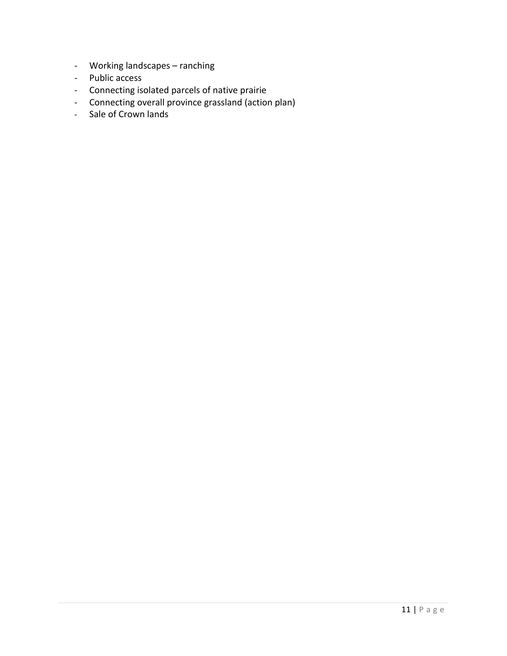- Working landscapes ranching
- Public access
- Connecting isolated parcels of native prairie
- Connecting overall province grassland (action plan)
- Sale of Crown lands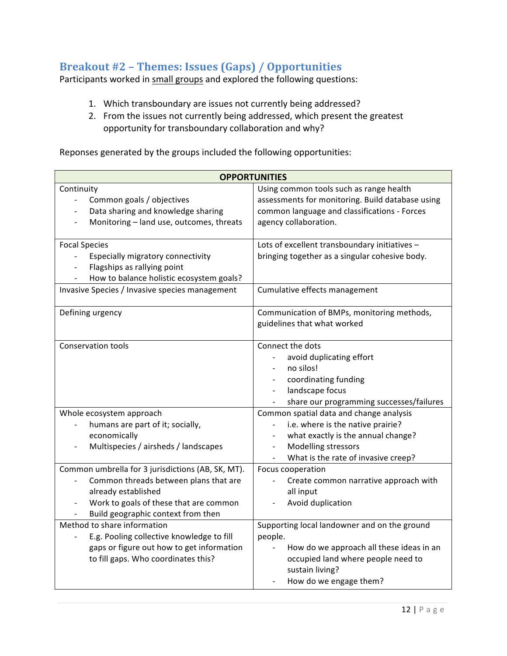## Breakout #2 - Themes: Issues (Gaps) / Opportunities

Participants worked in small groups and explored the following questions:

- 1. Which transboundary are issues not currently being addressed?
- 2. From the issues not currently being addressed, which present the greatest opportunity for transboundary collaboration and why?

Reponses generated by the groups included the following opportunities:

| <b>OPPORTUNITIES</b>                                                                                                                                                                                                             |                                                                                                                                                                                                                                                                                                         |
|----------------------------------------------------------------------------------------------------------------------------------------------------------------------------------------------------------------------------------|---------------------------------------------------------------------------------------------------------------------------------------------------------------------------------------------------------------------------------------------------------------------------------------------------------|
| Continuity<br>Common goals / objectives<br>$\overline{\phantom{0}}$<br>Data sharing and knowledge sharing<br>$\overline{\phantom{0}}$<br>Monitoring - land use, outcomes, threats<br>$\overline{\phantom{a}}$                    | Using common tools such as range health<br>assessments for monitoring. Build database using<br>common language and classifications - Forces<br>agency collaboration.                                                                                                                                    |
| <b>Focal Species</b><br>Especially migratory connectivity<br>$\overline{\phantom{0}}$<br>Flagships as rallying point<br>How to balance holistic ecosystem goals?<br>Invasive Species / Invasive species management               | Lots of excellent transboundary initiatives -<br>bringing together as a singular cohesive body.<br>Cumulative effects management                                                                                                                                                                        |
| Defining urgency                                                                                                                                                                                                                 | Communication of BMPs, monitoring methods,<br>guidelines that what worked                                                                                                                                                                                                                               |
| <b>Conservation tools</b><br>Whole ecosystem approach<br>humans are part of it; socially,<br>economically<br>Multispecies / airsheds / landscapes                                                                                | Connect the dots<br>avoid duplicating effort<br>no silos!<br>coordinating funding<br>landscape focus<br>$\sim$<br>share our programming successes/failures<br>Common spatial data and change analysis<br>i.e. where is the native prairie?<br>what exactly is the annual change?<br>Modelling stressors |
| Common umbrella for 3 jurisdictions (AB, SK, MT).<br>Common threads between plans that are<br>already established<br>Work to goals of these that are common<br>Build geographic context from then<br>Method to share information | What is the rate of invasive creep?<br>Focus cooperation<br>Create common narrative approach with<br>all input<br>Avoid duplication<br>Supporting local landowner and on the ground                                                                                                                     |
| E.g. Pooling collective knowledge to fill<br>gaps or figure out how to get information<br>to fill gaps. Who coordinates this?                                                                                                    | people.<br>How do we approach all these ideas in an<br>occupied land where people need to<br>sustain living?<br>How do we engage them?                                                                                                                                                                  |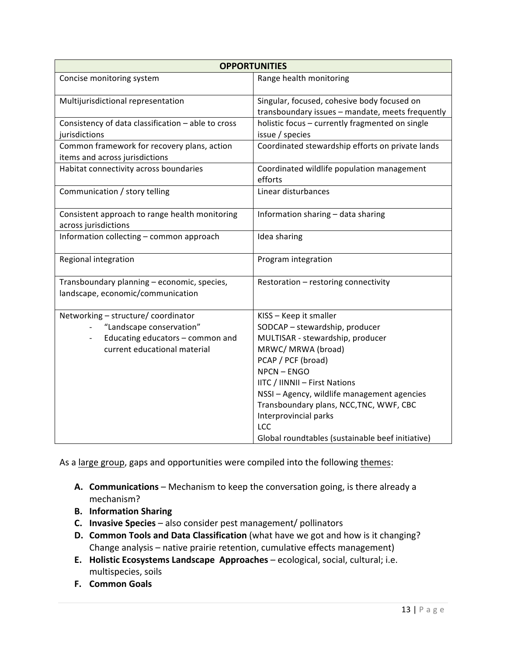| <b>OPPORTUNITIES</b>                                                                                                                |                                                                                                                                                                                                                                                                                                                                                                      |
|-------------------------------------------------------------------------------------------------------------------------------------|----------------------------------------------------------------------------------------------------------------------------------------------------------------------------------------------------------------------------------------------------------------------------------------------------------------------------------------------------------------------|
| Concise monitoring system                                                                                                           | Range health monitoring                                                                                                                                                                                                                                                                                                                                              |
| Multijurisdictional representation                                                                                                  | Singular, focused, cohesive body focused on<br>transboundary issues - mandate, meets frequently                                                                                                                                                                                                                                                                      |
| Consistency of data classification - able to cross<br>jurisdictions                                                                 | holistic focus - currently fragmented on single<br>issue / species                                                                                                                                                                                                                                                                                                   |
| Common framework for recovery plans, action<br>items and across jurisdictions                                                       | Coordinated stewardship efforts on private lands                                                                                                                                                                                                                                                                                                                     |
| Habitat connectivity across boundaries                                                                                              | Coordinated wildlife population management<br>efforts                                                                                                                                                                                                                                                                                                                |
| Communication / story telling                                                                                                       | Linear disturbances                                                                                                                                                                                                                                                                                                                                                  |
| Consistent approach to range health monitoring<br>across jurisdictions                                                              | Information sharing - data sharing                                                                                                                                                                                                                                                                                                                                   |
| Information collecting - common approach                                                                                            | Idea sharing                                                                                                                                                                                                                                                                                                                                                         |
| Regional integration                                                                                                                | Program integration                                                                                                                                                                                                                                                                                                                                                  |
| Transboundary planning - economic, species,<br>landscape, economic/communication                                                    | Restoration - restoring connectivity                                                                                                                                                                                                                                                                                                                                 |
| Networking - structure/ coordinator<br>"Landscape conservation"<br>Educating educators - common and<br>current educational material | KISS - Keep it smaller<br>SODCAP - stewardship, producer<br>MULTISAR - stewardship, producer<br>MRWC/ MRWA (broad)<br>PCAP / PCF (broad)<br>NPCN-ENGO<br>IITC / IINNII - First Nations<br>NSSI - Agency, wildlife management agencies<br>Transboundary plans, NCC, TNC, WWF, CBC<br>Interprovincial parks<br>LCC<br>Global roundtables (sustainable beef initiative) |

As a large group, gaps and opportunities were compiled into the following themes:

- A. **Communications** Mechanism to keep the conversation going, is there already a mechanism?
- **B. Information Sharing**
- **C. Invasive Species** also consider pest management/ pollinators
- **D. Common Tools and Data Classification** (what have we got and how is it changing? Change analysis – native prairie retention, cumulative effects management)
- **E.** Holistic Ecosystems Landscape Approaches ecological, social, cultural; i.e. multispecies, soils
- **F. Common Goals**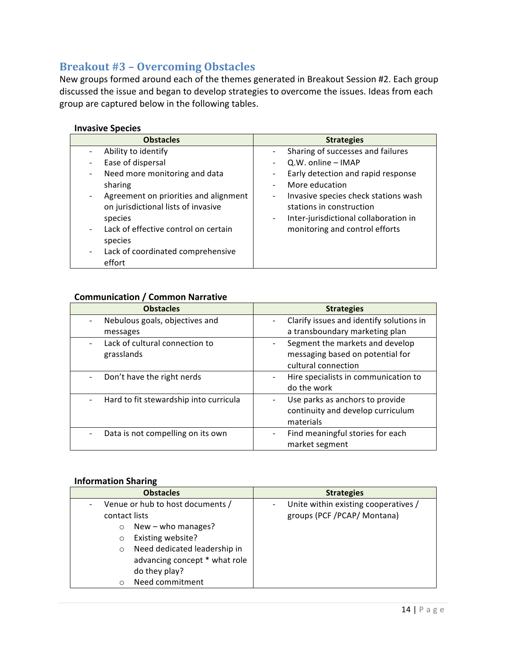## **Breakout #3 - Overcoming Obstacles**

New groups formed around each of the themes generated in Breakout Session #2. Each group discussed the issue and began to develop strategies to overcome the issues. Ideas from each group are captured below in the following tables.

#### **Invasive Species**

| <b>Obstacles</b>                      | <b>Strategies</b>                                                |
|---------------------------------------|------------------------------------------------------------------|
| Ability to identify                   | Sharing of successes and failures                                |
| Ease of dispersal                     | Q.W. online - IMAP<br>$\overline{\phantom{0}}$                   |
| Need more monitoring and data         | Early detection and rapid response<br>-                          |
| sharing                               | More education<br>÷                                              |
| Agreement on priorities and alignment | Invasive species check stations wash<br>$\overline{\phantom{0}}$ |
| on jurisdictional lists of invasive   | stations in construction                                         |
| species                               | Inter-jurisdictional collaboration in<br>-                       |
| Lack of effective control on certain  | monitoring and control efforts                                   |
| species                               |                                                                  |
| Lack of coordinated comprehensive     |                                                                  |
| effort                                |                                                                  |

#### **Communication / Common Narrative**

| <b>Obstacles</b>                       | <b>Strategies</b>                                  |
|----------------------------------------|----------------------------------------------------|
| Nebulous goals, objectives and         | Clarify issues and identify solutions in           |
| messages                               | a transboundary marketing plan                     |
| Lack of cultural connection to         | Segment the markets and develop                    |
| grasslands                             | messaging based on potential for                   |
|                                        | cultural connection                                |
| Don't have the right nerds             | Hire specialists in communication to               |
|                                        | do the work                                        |
| Hard to fit stewardship into curricula | Use parks as anchors to provide<br>-               |
|                                        | continuity and develop curriculum                  |
|                                        | materials                                          |
| Data is not compelling on its own      | Find meaningful stories for each<br>$\overline{a}$ |
|                                        | market segment                                     |

#### **Information Sharing**

| <b>Obstacles</b>                        | <b>Strategies</b>                    |
|-----------------------------------------|--------------------------------------|
| Venue or hub to host documents /        | Unite within existing cooperatives / |
| contact lists                           | groups (PCF /PCAP/ Montana)          |
| New $-$ who manages?<br>$\circ$         |                                      |
| Existing website?<br>$\circ$            |                                      |
| Need dedicated leadership in<br>$\circ$ |                                      |
| advancing concept * what role           |                                      |
| do they play?                           |                                      |
| Need commitment<br>O                    |                                      |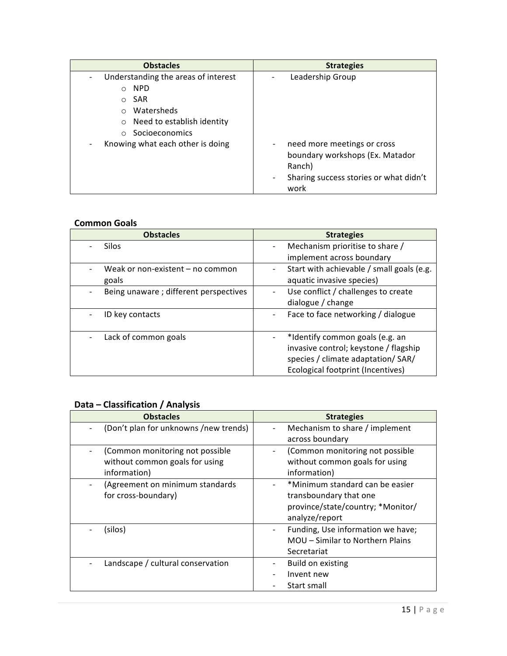| <b>Obstacles</b>                    | <b>Strategies</b>                             |
|-------------------------------------|-----------------------------------------------|
| Understanding the areas of interest | Leadership Group                              |
| <b>NPD</b>                          |                                               |
| <b>SAR</b><br>$\circ$               |                                               |
| Watersheds                          |                                               |
| Need to establish identity          |                                               |
| Socioeconomics                      |                                               |
| Knowing what each other is doing    | need more meetings or cross<br>$\overline{a}$ |
|                                     | boundary workshops (Ex. Matador               |
|                                     | Ranch)                                        |
|                                     | Sharing success stories or what didn't        |
|                                     | work                                          |

#### **Common Goals**

| <b>Obstacles</b>                       | <b>Strategies</b>                         |
|----------------------------------------|-------------------------------------------|
| <b>Silos</b>                           | Mechanism prioritise to share /           |
|                                        | implement across boundary                 |
| Weak or non-existent - no common       | Start with achievable / small goals (e.g. |
| goals                                  | aquatic invasive species)                 |
| Being unaware ; different perspectives | Use conflict / challenges to create       |
|                                        | dialogue / change                         |
| ID key contacts                        | Face to face networking / dialogue        |
|                                        |                                           |
| Lack of common goals                   | *Identify common goals (e.g. an           |
|                                        | invasive control; keystone / flagship     |
|                                        | species / climate adaptation/ SAR/        |
|                                        | Ecological footprint (Incentives)         |

### **Data – Classification / Analysis**

| <b>Obstacles</b>                      | <b>Strategies</b>                 |
|---------------------------------------|-----------------------------------|
| (Don't plan for unknowns /new trends) | Mechanism to share / implement    |
|                                       | across boundary                   |
| (Common monitoring not possible       | (Common monitoring not possible   |
| without common goals for using        | without common goals for using    |
| information)                          | information)                      |
| (Agreement on minimum standards       | *Minimum standard can be easier   |
| for cross-boundary)                   | transboundary that one            |
|                                       | province/state/country; *Monitor/ |
|                                       | analyze/report                    |
| (silos)                               | Funding, Use information we have; |
|                                       | MOU - Similar to Northern Plains  |
|                                       | Secretariat                       |
| Landscape / cultural conservation     | Build on existing                 |
|                                       | Invent new                        |
|                                       | Start small                       |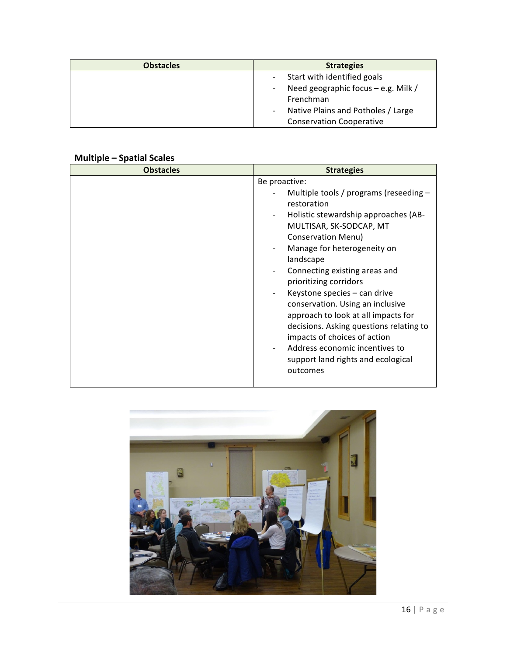| <b>Obstacles</b> | <b>Strategies</b>                             |
|------------------|-----------------------------------------------|
|                  | Start with identified goals<br>$\sim$         |
|                  | Need geographic focus - e.g. Milk /<br>$\sim$ |
|                  | Frenchman                                     |
|                  | Native Plains and Potholes / Large<br>-       |
|                  | <b>Conservation Cooperative</b>               |

### **Multiple – Spatial Scales**

| <b>Obstacles</b> | <b>Strategies</b>                                                                                                                                                                                                                                                                                                                                                                                                                                                                                                                                         |
|------------------|-----------------------------------------------------------------------------------------------------------------------------------------------------------------------------------------------------------------------------------------------------------------------------------------------------------------------------------------------------------------------------------------------------------------------------------------------------------------------------------------------------------------------------------------------------------|
|                  | Be proactive:<br>Multiple tools / programs (reseeding $-$<br>restoration<br>Holistic stewardship approaches (AB-<br>MULTISAR, SK-SODCAP, MT<br><b>Conservation Menu)</b><br>Manage for heterogeneity on<br>landscape<br>Connecting existing areas and<br>prioritizing corridors<br>Keystone species - can drive<br>conservation. Using an inclusive<br>approach to look at all impacts for<br>decisions. Asking questions relating to<br>impacts of choices of action<br>Address economic incentives to<br>support land rights and ecological<br>outcomes |

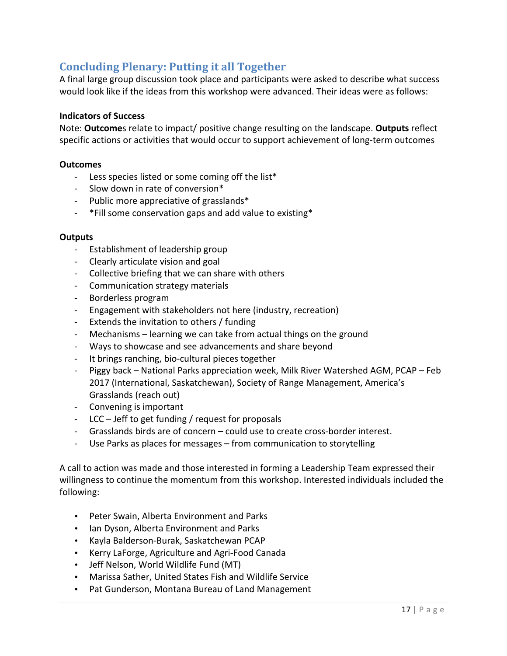## **Concluding Plenary: Putting it all Together**

A final large group discussion took place and participants were asked to describe what success would look like if the ideas from this workshop were advanced. Their ideas were as follows:

#### **Indicators of Success**

Note: **Outcome**s relate to impact/ positive change resulting on the landscape. **Outputs** reflect specific actions or activities that would occur to support achievement of long-term outcomes

#### **Outcomes**

- Less species listed or some coming off the list\*
- Slow down in rate of conversion\*
- Public more appreciative of grasslands\*
- \*Fill some conservation gaps and add value to existing\*

#### **Outputs**

- Establishment of leadership group
- Clearly articulate vision and goal
- Collective briefing that we can share with others
- Communication strategy materials
- Borderless program
- Engagement with stakeholders not here (industry, recreation)
- Extends the invitation to others / funding
- Mechanisms learning we can take from actual things on the ground
- Ways to showcase and see advancements and share beyond
- It brings ranching, bio-cultural pieces together
- Piggy back National Parks appreciation week, Milk River Watershed AGM, PCAP Feb 2017 (International, Saskatchewan), Society of Range Management, America's Grasslands (reach out)
- Convening is important
- $LCC Jeff$  to get funding / request for proposals
- Grasslands birds are of concern could use to create cross-border interest.
- Use Parks as places for messages from communication to storytelling

A call to action was made and those interested in forming a Leadership Team expressed their willingness to continue the momentum from this workshop. Interested individuals included the following:

- Peter Swain, Alberta Environment and Parks
- Ian Dyson, Alberta Environment and Parks
- Kayla Balderson-Burak, Saskatchewan PCAP
- Kerry LaForge, Agriculture and Agri-Food Canada
- Jeff Nelson, World Wildlife Fund (MT)
- Marissa Sather, United States Fish and Wildlife Service
- Pat Gunderson, Montana Bureau of Land Management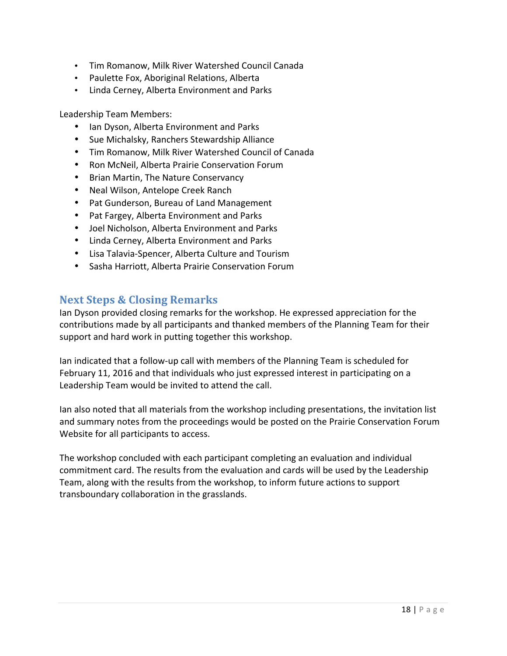- Tim Romanow, Milk River Watershed Council Canada
- Paulette Fox, Aboriginal Relations, Alberta
- Linda Cerney, Alberta Environment and Parks

Leadership Team Members:

- Ian Dyson, Alberta Environment and Parks
- Sue Michalsky, Ranchers Stewardship Alliance
- Tim Romanow, Milk River Watershed Council of Canada
- Ron McNeil, Alberta Prairie Conservation Forum
- Brian Martin, The Nature Conservancy
- Neal Wilson, Antelope Creek Ranch
- Pat Gunderson, Bureau of Land Management
- Pat Fargey, Alberta Environment and Parks
- Joel Nicholson, Alberta Environment and Parks
- Linda Cerney, Alberta Environment and Parks
- Lisa Talavia-Spencer, Alberta Culture and Tourism
- Sasha Harriott, Alberta Prairie Conservation Forum

### **Next Steps & Closing Remarks**

lan Dyson provided closing remarks for the workshop. He expressed appreciation for the contributions made by all participants and thanked members of the Planning Team for their support and hard work in putting together this workshop.

lan indicated that a follow-up call with members of the Planning Team is scheduled for February 11, 2016 and that individuals who just expressed interest in participating on a Leadership Team would be invited to attend the call.

Ian also noted that all materials from the workshop including presentations, the invitation list and summary notes from the proceedings would be posted on the Prairie Conservation Forum Website for all participants to access.

The workshop concluded with each participant completing an evaluation and individual commitment card. The results from the evaluation and cards will be used by the Leadership Team, along with the results from the workshop, to inform future actions to support transboundary collaboration in the grasslands.